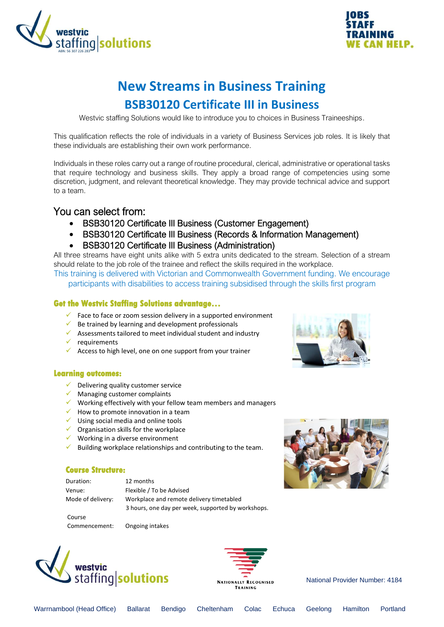



# **New Streams in Business Training BSB30120 Certificate III in Business**

Westvic staffing Solutions would like to introduce you to choices in Business Traineeships.

This qualification reflects the role of individuals in a variety of Business Services job roles. It is likely that these individuals are establishing their own work performance.

Individuals in these roles carry out a range of routine procedural, clerical, administrative or operational tasks that require technology and business skills. They apply a broad range of competencies using some discretion, judgment, and relevant theoretical knowledge. They may provide technical advice and support to a team.

### You can select from:

- BSB30120 Certificate III Business (Customer Engagement)
- BSB30120 Certificate III Business (Records & Information Management)
- BSB30120 Certificate III Business (Administration)

All three streams have eight units alike with 5 extra units dedicated to the stream. Selection of a stream should relate to the job role of the trainee and reflect the skills required in the workplace.

This training is delivered with Victorian and Commonwealth Government funding. We encourage participants with disabilities to access training subsidised through the skills first program

#### **Get the Westvic Staffing Solutions advantage…**

- $\checkmark$  Face to face or zoom session delivery in a supported environment
- $\checkmark$  Be trained by learning and development professionals
- ✓ Assessments tailored to meet individual student and industry
- $\checkmark$  requirements
- $\checkmark$  Access to high level, one on one support from your trainer

#### **Learning outcomes:**

- $\checkmark$  Delivering quality customer service
- $\checkmark$  Managing customer complaints
- $\checkmark$  Working effectively with your fellow team members and managers
- $\checkmark$  How to promote innovation in a team
- ✓ Using social media and online tools
- $\checkmark$  Organisation skills for the workplace
- $\checkmark$  Working in a diverse environment
- $\checkmark$  Building workplace relationships and contributing to the team.

#### **Course Structure:**

Duration: 12 months

Course

 Venue: Flexible / To be Advised Mode of delivery: Workplace and remote delivery timetabled 3 hours, one day per week, supported by workshops.

Commencement: Ongoing intakes







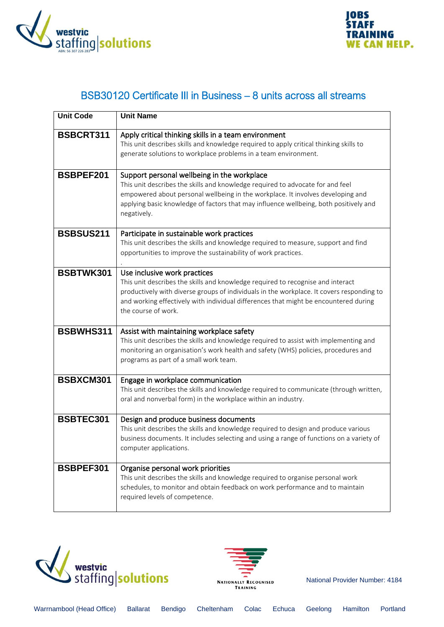



## BSB30120 Certificate III in Business – 8 units across all streams

| <b>Unit Code</b> | <b>Unit Name</b>                                                                                                                                                                                                                                                                                                            |
|------------------|-----------------------------------------------------------------------------------------------------------------------------------------------------------------------------------------------------------------------------------------------------------------------------------------------------------------------------|
| <b>BSBCRT311</b> | Apply critical thinking skills in a team environment<br>This unit describes skills and knowledge required to apply critical thinking skills to<br>generate solutions to workplace problems in a team environment.                                                                                                           |
| <b>BSBPEF201</b> | Support personal wellbeing in the workplace<br>This unit describes the skills and knowledge required to advocate for and feel<br>empowered about personal wellbeing in the workplace. It involves developing and<br>applying basic knowledge of factors that may influence wellbeing, both positively and<br>negatively.    |
| <b>BSBSUS211</b> | Participate in sustainable work practices<br>This unit describes the skills and knowledge required to measure, support and find<br>opportunities to improve the sustainability of work practices.                                                                                                                           |
| BSBTWK301        | Use inclusive work practices<br>This unit describes the skills and knowledge required to recognise and interact<br>productively with diverse groups of individuals in the workplace. It covers responding to<br>and working effectively with individual differences that might be encountered during<br>the course of work. |
| BSBWHS311        | Assist with maintaining workplace safety<br>This unit describes the skills and knowledge required to assist with implementing and<br>monitoring an organisation's work health and safety (WHS) policies, procedures and<br>programs as part of a small work team.                                                           |
| BSBXCM301        | Engage in workplace communication<br>This unit describes the skills and knowledge required to communicate (through written,<br>oral and nonverbal form) in the workplace within an industry.                                                                                                                                |
| <b>BSBTEC301</b> | Design and produce business documents<br>This unit describes the skills and knowledge required to design and produce various<br>business documents. It includes selecting and using a range of functions on a variety of<br>computer applications.                                                                          |
| BSBPEF301        | Organise personal work priorities<br>This unit describes the skills and knowledge required to organise personal work<br>schedules, to monitor and obtain feedback on work performance and to maintain<br>required levels of competence.                                                                                     |



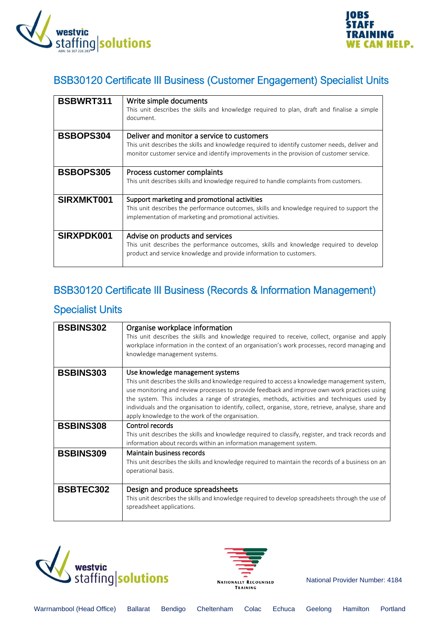



## BSB30120 Certificate III Business (Customer Engagement) Specialist Units

| <b>BSBWRT311</b> | Write simple documents<br>This unit describes the skills and knowledge required to plan, draft and finalise a simple<br>document.                                                                                                       |
|------------------|-----------------------------------------------------------------------------------------------------------------------------------------------------------------------------------------------------------------------------------------|
| <b>BSBOPS304</b> | Deliver and monitor a service to customers<br>This unit describes the skills and knowledge required to identify customer needs, deliver and<br>monitor customer service and identify improvements in the provision of customer service. |
| <b>BSBOPS305</b> | Process customer complaints<br>This unit describes skills and knowledge required to handle complaints from customers.                                                                                                                   |
| SIRXMKT001       | Support marketing and promotional activities<br>This unit describes the performance outcomes, skills and knowledge required to support the<br>implementation of marketing and promotional activities.                                   |
| SIRXPDK001       | Advise on products and services<br>This unit describes the performance outcomes, skills and knowledge required to develop<br>product and service knowledge and provide information to customers.                                        |

## BSB30120 Certificate III Business (Records & Information Management)

### Specialist Units

| <b>BSBINS302</b> | Organise workplace information<br>This unit describes the skills and knowledge required to receive, collect, organise and apply<br>workplace information in the context of an organisation's work processes, record managing and<br>knowledge management systems.                                                                                                                                                                                                                             |
|------------------|-----------------------------------------------------------------------------------------------------------------------------------------------------------------------------------------------------------------------------------------------------------------------------------------------------------------------------------------------------------------------------------------------------------------------------------------------------------------------------------------------|
| <b>BSBINS303</b> | Use knowledge management systems<br>This unit describes the skills and knowledge required to access a knowledge management system,<br>use monitoring and review processes to provide feedback and improve own work practices using<br>the system. This includes a range of strategies, methods, activities and techniques used by<br>individuals and the organisation to identify, collect, organise, store, retrieve, analyse, share and<br>apply knowledge to the work of the organisation. |
| <b>BSBINS308</b> | Control records<br>This unit describes the skills and knowledge required to classify, register, and track records and<br>information about records within an information management system.                                                                                                                                                                                                                                                                                                   |
| <b>BSBINS309</b> | Maintain business records<br>This unit describes the skills and knowledge required to maintain the records of a business on an<br>operational basis.                                                                                                                                                                                                                                                                                                                                          |
| <b>BSBTEC302</b> | Design and produce spreadsheets<br>This unit describes the skills and knowledge required to develop spreadsheets through the use of<br>spreadsheet applications.                                                                                                                                                                                                                                                                                                                              |